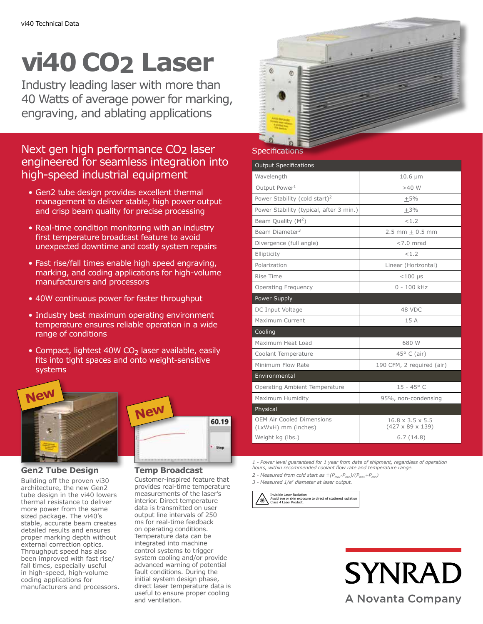# **vi40 CO2 Laser**

Industry leading laser with more than 40 Watts of average power for marking, engraving, and ablating applications

# Next gen high performance CO2 laser engineered for seamless integration into high-speed industrial equipment

- Gen2 tube design provides excellent thermal management to deliver stable, high power output and crisp beam quality for precise processing
- Real-time condition monitoring with an industry first temperature broadcast feature to avoid unexpected downtime and costly system repairs
- Fast rise/fall times enable high speed engraving, marking, and coding applications for high-volume manufacturers and processors
- 40W continuous power for faster throughput
- Industry best maximum operating environment temperature ensures reliable operation in a wide range of conditions
- Compact, lightest 40W  $CO<sub>2</sub>$  laser available, easily fits into tight spaces and onto weight-sensitive systems





# **Gen2 Tube Design**

Building off the proven vi30 architecture, the new Gen2 tube design in the vi40 lowers thermal resistance to deliver more power from the same sized package. The vi40's stable, accurate beam creates detailed results and ensures proper marking depth without external correction optics. Throughput speed has also been improved with fast rise/ fall times, especially useful in high-speed, high-volume coding applications for manufacturers and processors.

## **Temp Broadcast**

Customer-inspired feature that provides real-time temperature measurements of the laser's interior. Direct temperature data is transmitted on user output line intervals of 250 ms for real-time feedback on operating conditions. Temperature data can be integrated into machine control systems to trigger system cooling and/or provide advanced warning of potential fault conditions. During the initial system design phase, direct laser temperature data is useful to ensure proper cooling and ventilation.

# **Specifications**

| <b>Output Specifications</b>              |                              |
|-------------------------------------------|------------------------------|
| Wavelength                                | $10.6 \mu m$                 |
| Output Power <sup>1</sup>                 | $>40$ W                      |
| Power Stability (cold start) <sup>2</sup> | $+5%$                        |
| Power Stability (typical, after 3 min.)   | $+3%$                        |
| Beam Quality $(M^2)$                      | < 1.2                        |
| Beam Diameter <sup>3</sup>                | 2.5 mm $\pm$ 0.5 mm          |
| Divergence (full angle)                   | $<$ 7.0 mrad                 |
| Ellipticity                               | < 1.7                        |
| Polarization                              | Linear (Horizontal)          |
| Rise Time                                 | $<$ 100 µs                   |
| <b>Operating Frequency</b>                | $0 - 100$ kHz                |
| Power Supply                              |                              |
| DC Input Voltage                          | 48 VDC                       |
| Maximum Current                           | 15A                          |
| Cooling                                   |                              |
| Maximum Heat Load                         | 680 W                        |
| Coolant Temperature                       | $45^{\circ}$ C (air)         |
| Minimum Flow Rate                         | 190 CFM, 2 required (air)    |
| Environmental                             |                              |
| Operating Ambient Temperature             | $15 - 45^{\circ}$ C          |
| Maximum Humidity                          | 95%, non-condensing          |
| Physical                                  |                              |
| <b>OEM Air Cooled Dimensions</b>          | $16.8 \times 3.5 \times 5.5$ |
| (LxWxH) mm (inches)                       | $(427 \times 89 \times 139)$ |
| Weight kg (lbs.)                          | 6.7(14.8)                    |

*1 - Power level guaranteed for 1 year from date of shipment, regardless of operation hours, within recommended coolant flow rate and temperature range.*

2 - Measured from cold start as  $\pm (P_{max}-P_{min})/(P_{max}+P_{min})$ 

*3 - Measured 1/e2 diameter at laser output.*